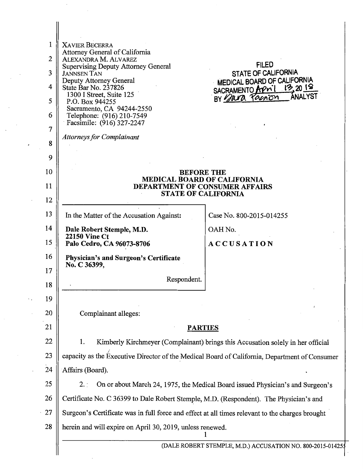| 1              | <b>XAVIER BECERRA</b>                                                                           |                                                            |  |
|----------------|-------------------------------------------------------------------------------------------------|------------------------------------------------------------|--|
| $\overline{2}$ | Attorney General of California<br>ALEXANDRA M. ALVAREZ                                          |                                                            |  |
| 3              | <b>Supervising Deputy Attorney General</b><br><b>JANNSEN TAN</b>                                | <b>FILED</b><br>STATE OF CALIFORNIA                        |  |
| 4              | Deputy Attorney General<br>State Bar No. 237826                                                 | MEDICAL BOARD OF CALIFORNIA<br>13,2018<br>SACRAMENTO APril |  |
| 5              | 1300 I Street, Suite 125<br>P.O. Box 944255                                                     | ANALYST<br>BY para Parion                                  |  |
| 6              | Sacramento, CA 94244-2550<br>Telephone: (916) 210-7549                                          |                                                            |  |
| 7              | Facsimile: (916) 327-2247                                                                       |                                                            |  |
| 8              | <b>Attorneys for Complainant</b>                                                                |                                                            |  |
| 9              |                                                                                                 |                                                            |  |
| 10             | <b>BEFORE THE</b>                                                                               |                                                            |  |
| 11             | MEDICAL BOARD OF CALIFORNIA<br><b>DEPARTMENT OF CONSUMER AFFAIRS</b>                            |                                                            |  |
| 12             | <b>STATE OF CALIFORNIA</b>                                                                      |                                                            |  |
| 13             | In the Matter of the Accusation Against:                                                        | Case No. 800-2015-014255                                   |  |
| 14             | Dale Robert Stemple, M.D.                                                                       | OAH No.                                                    |  |
| 15             | <b>22150 Vine Ct</b><br>Palo Cedro, CA 96073-8706                                               | <b>ACCUSATION</b>                                          |  |
| 16             | <b>Physician's and Surgeon's Certificate</b>                                                    |                                                            |  |
| 17             | No. C 36399,                                                                                    |                                                            |  |
| 18             | Respondent.                                                                                     |                                                            |  |
| 19             |                                                                                                 |                                                            |  |
| 20             | Complainant alleges:                                                                            |                                                            |  |
| 21             | <b>PARTIES</b>                                                                                  |                                                            |  |
| 22             | 1.<br>Kimberly Kirchmeyer (Complainant) brings this Accusation solely in her official           |                                                            |  |
| 23             | capacity as the Executive Director of the Medical Board of California, Department of Consumer   |                                                            |  |
| 24             | Affairs (Board).                                                                                |                                                            |  |
| 25             | On or about March 24, 1975, the Medical Board issued Physician's and Surgeon's<br>2.1           |                                                            |  |
| 26             | Certificate No. C 36399 to Dale Robert Stemple, M.D. (Respondent). The Physician's and          |                                                            |  |
| 27             | Surgeon's Certificate was in full force and effect at all times relevant to the charges brought |                                                            |  |
| 28             | herein and will expire on April 30, 2019, unless renewed.                                       |                                                            |  |
|                |                                                                                                 | (DALE ROBERT STEMPLE, M.D.) ACCUSATION NO. 800-2015-014255 |  |

 $\cdot$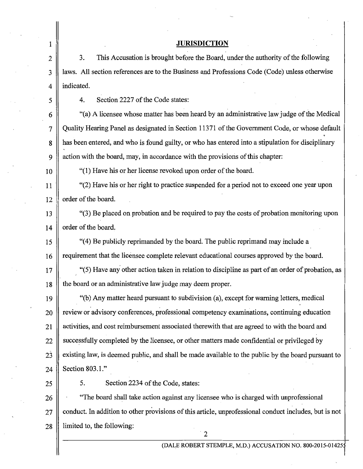| 1              | <b>JURISDICTION</b>                                                                                   |  |
|----------------|-------------------------------------------------------------------------------------------------------|--|
| 2              | This Accusation is brought before the Board, under the authority of the following<br>3.               |  |
| 3              | laws. All section references are to the Business and Professions Code (Code) unless otherwise         |  |
| 4              | indicated.                                                                                            |  |
| 5              | Section 2227 of the Code states:<br>4.                                                                |  |
| 6              | "(a) A licensee whose matter has been heard by an administrative law judge of the Medical             |  |
| $\overline{7}$ | Quality Hearing Panel as designated in Section 11371 of the Government Code, or whose default         |  |
| 8              | has been entered, and who is found guilty, or who has entered into a stipulation for disciplinary     |  |
| 9              | action with the board, may, in accordance with the provisions of this chapter:                        |  |
| 10             | "(1) Have his or her license revoked upon order of the board.                                         |  |
| 11             | "(2) Have his or her right to practice suspended for a period not to exceed one year upon             |  |
| 12             | order of the board.                                                                                   |  |
| 13             | "(3) Be placed on probation and be required to pay the costs of probation monitoring upon             |  |
| 14             | order of the board.                                                                                   |  |
| 15             | "(4) Be publicly reprimanded by the board. The public reprimand may include a                         |  |
| 16             | requirement that the licensee complete relevant educational courses approved by the board.            |  |
| 17             | "(5) Have any other action taken in relation to discipline as part of an order of probation, as       |  |
| 18             | the board or an administrative law judge may deem proper.                                             |  |
| 19             | "(b) Any matter heard pursuant to subdivision (a), except for warning letters, medical                |  |
| 20             | review or advisory conferences, professional competency examinations, continuing education            |  |
| 21             | activities, and cost reimbursement associated therewith that are agreed to with the board and         |  |
| 22             | successfully completed by the licensee, or other matters made confidential or privileged by           |  |
| 23             | existing law, is deemed public, and shall be made available to the public by the board pursuant to    |  |
| 24             | Section 803.1."                                                                                       |  |
| 25             | 5.<br>Section 2234 of the Code, states:                                                               |  |
| 26             | "The board shall take action against any licensee who is charged with unprofessional                  |  |
| 27             | conduct. In addition to other provisions of this article, unprofessional conduct includes, but is not |  |
| 28             | limited to, the following:                                                                            |  |

 $\parallel$ 

2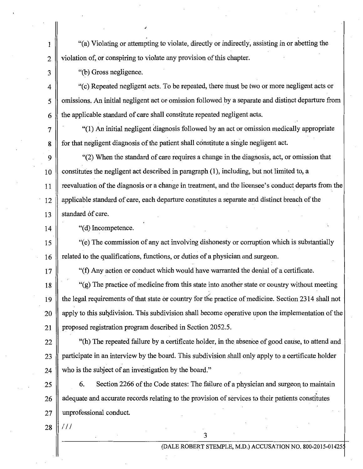1 "(a) Violating or attempting to violate, directly or indirectly, assisting in or abetting the  $2 \parallel$  violation of, or conspiring to violate any provision of this chapter.

3 || "(b) Gross negligence.

 $\parallel$  "(c) Repeated negligent acts. To be repeated, there must be two or more negligent acts or 5 || omissions. An initial negligent act or omission followed by a separate and distinct departure from  $6 \parallel$  the applicable standard of care shall constitute repeated negligent acts.

 $7 \parallel$  "(1) An initial negligent diagnosis followed by an act or omission medically appropriate 8 for that negligent diagnosis of the patient shall constitute a single negligent act.

9 "(2) When the standard of care requires a change in the diagnosis, act, or omission that  $\lceil 10 \rceil$  constitutes the negligent act described in paragraph (1), including, but not limited to, a 11 reevaluation of the diagnosis or a change in treatment, and the licensee's conduct departs from the 12 applicable standard of care, each departure constitutes a separate and distinct breach of the 13  $\parallel$  standard of care.

 $14$   $\parallel$  "(d) Incompetence.

15  $\parallel$  "(e) The commission of any act involving dishonesty or corruption which is substantially 16 The related to the qualifications, functions, or duties of a physician and surgeon.

 $17 \parallel$  "(f) Any action or conduct which would have warranted the denial of a certificate.

18  $\parallel$  "(g) The practice of medicine from this state into another state or country without meeting 19 | the legal requirements of that state or country for the practice of medicine. Section 2314 shall not  $20$  || apply to this subdivision. This subdivision shall become operative upon the implementation of the 21 | proposed registration program described in Section 2052.5.

22  $\parallel$  "(h) The repeated failure by a certificate holder, in the absence of good cause, to attend and 23 || participate in an interview by the board. This subdivision shall only apply to a certificate holder 24 who is the subject of an investigation by the board."

 $25 \parallel$  6. Section 2266 of the Code states: The failure of a physician and surgeon to maintain 26 adequate and accurate records relating to the provision of services to their patients constitutes 27 || unprofessional conduct.

3

 $28$  |  $111$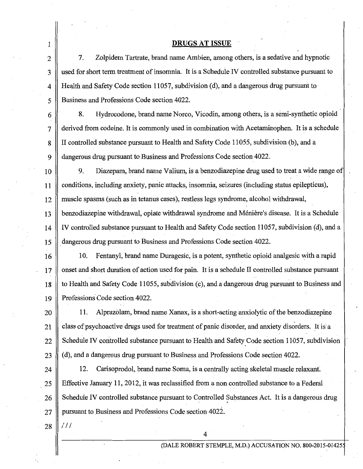#### DRUGS AT ISSUE

 $2 \parallel 7$ . Zolpidem Tartrate, brand name Ambien, among others, is a sedative and hypnotic 3 used for short term treatment of insomnia. It is a Schedule IV controlled substance pursuant to 4 Health and Safety Code section 11057, subdivision (d), and a dangerous drug pursuant to 5 Business and Professions Code section 4022.

6 8. Hydrocodone, brand name Norco, Vicodin, among others, is a semi-synthetic opioid 7 derived from codeine. It is commonly used in combination with Acetaminophen. It is a schedule 8 | II controlled substance pursuant to Health and Safety Code 11055, subdivision (b), and a 9 dangerous drug pursuant to Business and Professions Code section 4022.

10 9. Diazepam, brand name Valium, is a benzodiazepine drug used to treat a wide range of 11 conditions, including anxiety, panic attacks, insomnia, seizures (including status epilepticus), 12 muscle spasms (such as in tetanus cases), restless legs syndrome, alcohol withdrawal,  $13$  || benzodiazepine withdrawal, opiate withdrawal syndrome and Ménière's disease. It is a Schedule 14 IV controlled substance pursuant to Health and Safety Code section 11057, subdivision ( d), and a 15  $\parallel$  dangerous drug pursuant to Business and Professions Code section 4022.

16 10. Fentanyl, brand name Duragesic, is a potent, synthetic opioid analgesic with a rapid  $17 \parallel$  onset and short duration of action used for pain. It is a schedule II controlled substance pursuant 18 to Health and Safety Code 11055, subdivision (c), and a dangerous drug pursuant to Business and 19 || Professions Code section 4022.

20 11. Alprazolam, brand name Xanax, is a short-acting anxiolytic of the benzodiazepine  $21$  class of psychoactive drugs used for treatment of panic disorder, and anxiety disorders. It is a 22 Schedule IV controlled substance pursuant to Health and Safety Code section 11057, subdivision 23 (d), and a dangerous drug pursuant to Business and Professions Code section 4022.

24 | 12. Carisoprodol, brand name Soma, is a centrally acting skeletal muscle relaxant. 25 Effective January 11, 2012, it was reclassified from a non controlled substance to a Federal  $26 \parallel$  Schedule IV controlled substance pursuant to Controlled Substances Act. It is a dangerous drug 27 | pursuant to Business and Professions Code section 4022.

 $28$  |  $111$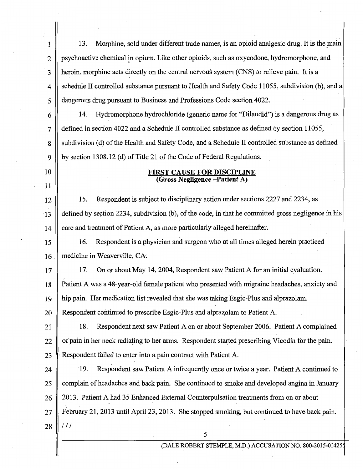1  $\parallel$  13. Morphine, sold under different trade names, is an opioid analgesic drug. It is the main 2 psychoactive chemical in opium. Like other opioids, such as oxycodone, hydromorphone, and 3 | heroin, morphine acts directly on the central nervous system (CNS) to relieve pain. It is a 4 schedule II controlled substance pursuant to Health and Safety Code 11055, subdivision (b), and a 5 dangerous drug pursuant to Business and Professions Code section 4022.  $6 \parallel$  14. Hydromorphone hydrochloride (generic name for "Dilaudid") is a dangerous drug as 7 defined in section 4022 and a Schedule II controlled substance as defined by section 11055, 8 Subdivision (d) of the Health and Safety Code, and a Schedule II controlled substance as defined 9 by section 1308.12 (d) of Title 21 of the Code of Federal Regulations. 10 || **FIRST CAUSE FOR DISCIPLINE** (Gross Negligence-Patient A) 11 12 | 15. Respondent is subject to disciplinary action under sections 2227 and 2234, as 13 defined by section 2234, subdivision (b), of the code, in that he committed gross negligence in his 14  $\parallel$  care and treatment of Patient A, as more particularly alleged hereinafter. 15 16. Respondent is a physician and surgeon who at all times alleged herein practiced  $16$   $\parallel$  medicine in Weaverville, CA. 17 | 17. On or about May 14, 2004, Respondent saw Patient A for an initial evaluation. 18 Patient A was a 48-year-old female patient who presented with migraine headaches, anxiety and 19 hip pain. Her medication list revealed that she was taking Esgic-Plus and alprazolam. 20 **Respondent continued to prescribe Esgic-Plus and alprazolam to Patient A.** 21 | 18. Respondent next saw Patient A on or about September 2006. Patient A complained  $22 \parallel$  of pain in her neck radiating to her arms. Respondent started prescribing Vicodin for the pain. 23  $\mathbb{R}$  Respondent failed to enter into a pain contract with Patient A. 24 19. Respondent saw Patient A infrequently once or twice a year. Patient A continued to 25 Complain of headaches and back pain. She continued to smoke and developed angina in January 26 || 2013. Patient A had 35 Enhanced External Counterpulsation treatments from on or about 27 February 21, 2013 until April 23, 2013. She stopped smoking, but continued to have back pain.  $28$  ||  $111$ 5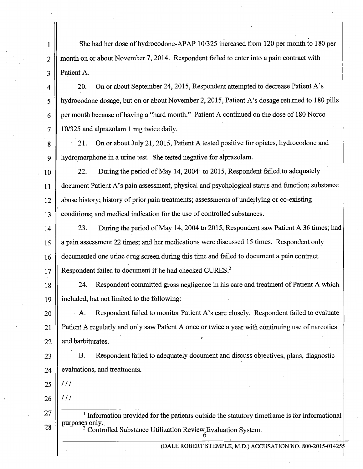1 She had her dose of hydrocodone-APAP 10/325 increased from 120 per month to 180 per 2 month on or about November 7, 2014. Respondent failed to enter into a pain contract with 3 Patient A.

4 20. On or about September 24, 2015, Respondent attempted to decrease Patient A's 5 | hydrocodone dosage, but on or about November 2, 2015, Patient A's dosage returned to 180 pills 6 per month because of having a "hard month." Patient A continued on the dose of 180 Norco  $7 \parallel 10/325$  and alprazolam 1 mg twice daily.

8 21. On or about July 21, 2015, Patient A tested positive for opiates, hydrocodone and 9 hydromorphone in a urine test. She tested negative for alprazolam.

10 22. During the period of May 14, 2004<sup>1</sup> to 2015, Respondent failed to adequately 11 | document Patient A's pain assessment, physical and psychological status and function; substance 12 abuse history; history of prior pain treatments; assessments of underlying or co-existing 13 || conditions; and medical indication for the use of controlled substances.

14 23. During the period of May 14, 2004 to 2015, Respondent saw Patient A 36 times; had 15 a pain assessment 22 times; and her medications were discussed 15 times. Respondent only 16 documented one urine drug screen during this time and failed to document a pain contract.

 $17$  Respondent failed to document if he had checked CURES.<sup>2</sup>

18 24. Respondent committed gross negligence in his care and treatment of Patient A which 19 included, but not limited to the following:

 $20$  || A. Respondent failed to monitor Patient A's care closely. Respondent failed to evaluate 21 Patient A regularly and only saw Patient A once or twice a year with continuing use of narcotics 22  $\parallel$  and barbiturates.

23 B. Respondent failed to adequately document and discuss objectives, plans, diagnostic 24 evaluations, and treatments.

'25  $111$ 

26  $111$ 

27 28  $<sup>1</sup>$  Information provided for the patients outside the statutory timeframe is for informational</sup> purposes only.<br><sup>2</sup> Controlled Substance Utilization Review Evaluation System.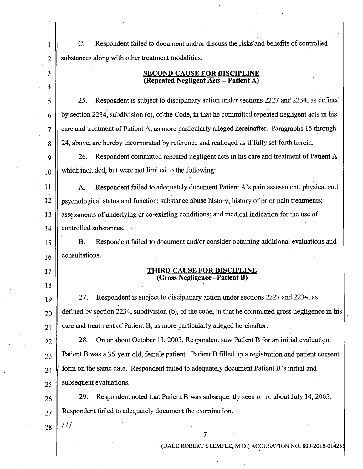1 C. Respondent failed to document and/or discuss the risks and benefits of controlled  $2 \parallel$  substances along with other treatment modalities.

# 3 SECOND CAUSE FOR DISCIPLINE (Repeated Negligent Acts -Patient A)

5 25. Respondent is subject to disciplinary action under sections 2227 and 2234, as defined  $6 \parallel$  by section 2234, subdivision (c), of the Code, in that he committed repeated negligent acts in his  $7 \parallel$  care and treatment of Patient A, as more particularly alleged hereinafter. Paragraphs 15 through  $8 \parallel 24$ , above, are hereby incorporated by reference and realleged as if fully set forth herein.

9 26. Respondent committed repeated negligent acts in his care and treatment of Patient A  $_{10}$  which included, but were not limited to the following:

11 || A. Respondent failed to adequately document Patient A's pain assessment, physical and 12 psychological status and function; substance abuse history; history of prior pain treatments; 13 || assessments of underlying or co-existing conditions; and medical indication for the use of 14 controlled substances.

15 B. Respondent failed to document and/or consider obtaining additional evaluations and  $16 \parallel$  consultations.

## 17 || **THIRD CAUSE FOR DISCIPL** (Gross Negligence -Patient

19 27. Respondent is subject to disciplinary action under sections 2227 and 2234, as  $_{20}$  defined by section 2234, subdivision (b), of the code, in that he committed gross negligence in his  $21$  care and treatment of Patient B, as more particularly alleged hereinafter.

 $22 \parallel 28$ . On or about October 13, 2003, Respondent saw Patient B for an initial evaluation.  $_{23}$  | Patient B was a 36-year-old, female patient. Patient B filled up a registration and patient consent  $24$  form on the same date. Respondent failed to adequately document Patient B's initial and  $25 \parallel$  subsequent evaluations.

26 29. Respondent noted that Patient B was subsequently seen on or about July 14, 2005.  $27 \parallel$  Respondent failed to adequately document the examination.

7

 $28$  |  $111$ 

18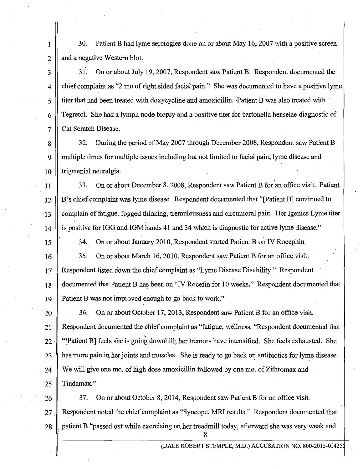1 30. Patient B had lyme serologies done on or about May 16, 2007 with a positive screen  $2 \parallel$  and a negative Western blot.

3 31. On or about July 19, 2007, Respondent saw Patient B. Respondent documented the 4 chief complaint as "2 mo of right sided facial pain." She was documented to have a positive lyme 5 titer that had been treated with doxycycline and amoxicillin. -Patient B was also treated with 6 Tegretol. She had a lymph.node biopsy and a positive titer for bartonella henselae diagnostic of 7 | Cat Scratch Disease.

8 32. During the period of May 2007 through December 2008, Respondent saw Patient B 9 multiple times for multiple issues including but not limited to facial pain, lyme disease and  $10$  || trigmenial neuralgia.

11 33. On or about December 8, 2008, Respondent saw Patient B for an office visit. Patient 12 B's chief complaint was lyme disease. Respondent documented that "[PatientB] continued to · 13 complain of fatigue, fogged thinking, tremulousness and circumoral pain .. Her !genies Lyme titer 14 is positive for IGG and IGM bands 41 and 34 which is diagnostic for active lyme disease."

15 34. On or about January 2010, Respondent started Patient B on IV Rocephin.

16 35. On or about March 16, 2010, Respondent saw Patient B for an office visit. 17 Respondent listed down the chief complaint as "Lyme Disease Disability." Respondent 18 documented that Patient B has been on "IV Rocefin for 10 weeks." Respondent documented that 19 Patient B was not improved enough to go back to work."

20 | 36. On or about October 17, 2013, Respondent saw Patient B for an office visit. 21 Respondent documented the chief complaint as "fatigue, wellness. "Respondent documented that  $22$   $\parallel$  "[Patient B] feels she is going downhill; her tremors have intensified. She feels exhausted. She  $23$   $\parallel$  has more pain in her joints and muscles. She is ready to go back on antibiotics for lyme disease. 24 We will give one mo. of high dose amoxicillin followed by one mo. of Zithromax and 25  $\parallel$  Tindamax."

26 37. On or about October 8, 2014, Respondent saw Patient B for an office visit. 27 || Respondent noted the chief complaint as "Syncope, MRI results." Respondent documented that 28 || patient B "passed out while exercising on her treadmill today, afterward she was very weak and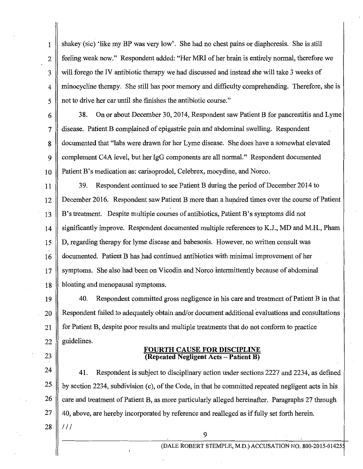1 shakey (sic) 'like my BP was very low'. She had no chest pains or diaphoresis. She is still 2 || feeling weak now." Respondent added: "Her MRI of her brain is entirely normal, therefore we 3 will forego the IV antibiotic therapy we had discussed and instead she will take 3 weeks of 4 minocycline therapy. She still has poor memory and difficulty comprehending. Therefore, she is 5 || not to drive her car until she finishes the antibiotic course."

6 38. On or about December 30, 2014, Respondent saw Patient B for pancreatitis and Lyme  $7 \parallel$  disease. Patient B complained of epigastric pain and abdominal swelling. Respondent 8 documented that "labs were drawn for her Lyme disease. She does have a somewhat elevated 9 complement C4A level, but her lgG components are all normal." Respondent documented 10 Patient B's medication as: carisoprodol, Celebrex, mocydine, and Norco.

11 39. Respondent continued to see Patient B during the period of December 2014 to  $12 \parallel$  December 2016. Respondent saw Patient B more than a hundred times over the course of Patient 13 B's treatment. Despite multiple courses of antibiotics, Patient B's symptoms did not 14 Significantly improve. Respondent documented multiple references to K.J., MD and M.H., Pham 15 D, regarding therapy for lyme disease\_ and babesosis. However, no written consult was  $16 \parallel$  documented. Patient B has had continued antibiotics with minimal improvement of her 17 Symptoms. She also had been on Vicodin and Norco intermittently because of abdominal 18 bloating and menopausal symptoms.

19 40. Respondent committed gross negligence in his care and treatment of Patient Bin that 20 **Respondent failed to adequately obtain and/or document additional evaluations and consultations** 21 for Patient B, despite poor results and multiple treatments that do not conform to practice 22 || guidelines.

## FOURTH CAUSE FOR DISCIPLINE  $\sqrt{23}$  || **Repeated Negligent Acts – Patient B**)

 $24$  | 41. Respondent is subject to disciplinary action under sections 2227 and 2234, as defined 25. by section 2234, subdivision (c), of the Code, in that he committed repeated negligent acts in his  $26 \parallel$  care and treatment of Patient B, as more particularly alleged hereinafter. Paragraphs 27 through 27 || 40, above, are hereby incorporated by reference and realleged as if fully set forth herein.

9

 $28$ .  $\parallel$  ///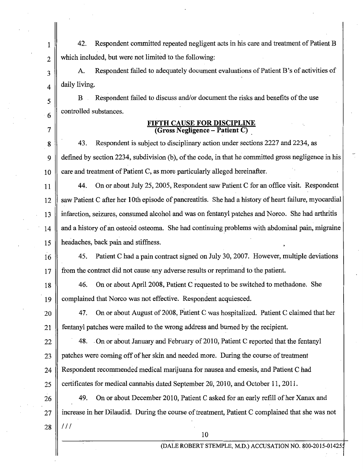1 42. Respondent committed repeated negligent acts in his care and treatment of Patient B  $2 \parallel$  which included, but were not limited to the following:

3 A. Respondent failed to adequately document evaluations of Patient B's of activities of  $_4$  daily living.

B Respondent failed to discuss and/or document the risks and benefits of the use controlled substances.

5

6

7

## FIFTH CAUSE FOR DISCIPLINE (Gross Negligence - Patient C)

8 8 43. Respondent is subject to disciplinary action under sections 2227 and 2234, as 9 defined by section 2234, subdivision (b), of the code, in that he committed gross negligence in his 10 care and treatment of Patient C, as more particularly alleged hereinafter.

11 || 44. On or about July 25, 2005, Respondent saw Patient C for an office visit. Respondent 12 saw Patient C after her 10th episode of pancreatitis. She had a history of heart failure, myocardial 13 infarction, seizures, consumed alcohol and was on fentanyl patches and Norco. She had arthritis 14 and a history of an osteoid osteoma. She had continuing problems with abdominal pain, migraine 15 headaches, back pain and stiffness.

16 45. Patient C had a pain contract signed on July 30, 2007. However, multiple deviations 17 from the contract did not cause any adverse results or reprimand to the patient.

18 46. On or about April 2008, Patjent C requested to be switched to methadone. She 19 complained that Norco was not effective. Respondent acquiesced.

20 || 47. On or about August of 2008, Patient C was hospitalized. Patient C claimed that her 21 fentanyl patches were mailed to the wrong address and burned by the recipient.

22 48. On or about January and February of 2010, Patient C reported that the fentanyl  $23$  || patches were coming off of her skin and needed more. During the course of treatment 24 Respondent recommended medical marijuana for nausea and emesis, and Patient C had  $25 \parallel$  certificates for medical cannabis dated September 20, 2010, and October 11, 2011.

26 49. On or about December 2010, Patient C asked for an early refill of her Xanax and 27 increase in her Dilaudid. During the course of treatment, Patient C complained that she was not  $28$  ||  $111$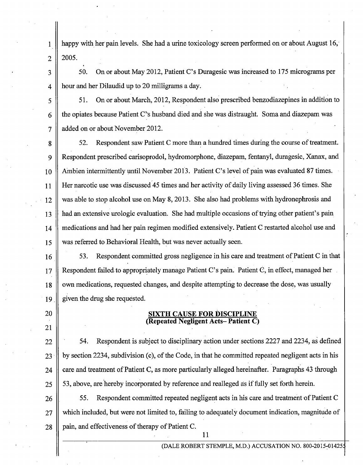1 happy with her pain levels. She had a urine toxicology screen performed on or about August 16,  $2 \parallel 2005.$ 

3 50. On or about May 2012, Patient C's Duragesic was increased to 175 micrograms per 4 hour and her Dilaudid up to 20 milligrams a day.

5 51. On or about March, 2012, Respondent also prescribed benzodiazepines in addition to 6 the opiates because Patient C's husband died and she was distraught. Soma and diazepam was 7 || added on or about November 2012.

8 || 52. Respondent saw Patient C more than a hundred times during the course of treatment. 9 Respondent prescribed carisoprodol, hydromorphone, diazepam, fentanyl, duragesic, Xanax, and 10 Ambien intermittently until November 2013. Patient C's level of pain was evaluated 87 times. 11 Her narcotic use was discussed 45 times and her activity of daily living assessed 36 times. She  $12 \parallel$  was able to stop alcohol use on May 8, 2013. She also had problems with hydronephrosis and 13 had an extensive urologic evaluation. She had multiple occasions of trying other patient's pain 14 medications and had her pain regimen modified extensively. Patient C restarted alcohol use and 15 was referred to Behavioral Health, but was never actually seen.

16 **16 10** 53. Respondent committed gross negligence in his care and treatment of Patient C in that 17 Respondent failed to appropriately manage Patient C's pain. Patient C, in effect, managed her 18 own medications, requested changes, and despite attempting to decrease the dose, was usually 19  $\parallel$  given the drug she requested.

20

21

## CAUSE FOR DISC (Repeated Negligent Acts-Patient C)

 $\parallel$  54. Respondent is subject to disciplinary action under sections 2227 and 2234, as defined || by section 2234, subdivision (c), of the Code, in that he committed repeated negligent acts in his  $\parallel$  care and treatment of Patient C, as more particularly alleged hereinafter. Paragraphs 43 through  $25 \parallel 53$ , above, are hereby incorporated by reference and realleged as if fully set forth herein.

26 || 55. Respondent committed repeated negligent acts in his care and treatment of Patient C 27 || which included, but were not limited to, failing to adequately document indication, magnitude of  $28$  | pain, and effectiveness of therapy of Patient C.

11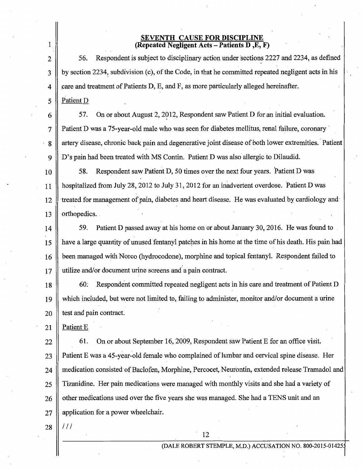#### SEVENTH CAUSE FOR DISCIPLINE (Repeated Negligent Acts -Patients D ,E, F)

 $2 \parallel$  56. Respondent is subject to disciplinary action under sections 2227 and 2234, as defined 3 || by section 2234, subdivision (c), of the Code, in that he committed repeated negligent acts in his  $4 \parallel$  care and treatment of Patients D, E, and F, as more particularly alleged hereinafter. 5 || Patient D

 $6 \parallel$  57. On or about August 2, 2012, Respondent saw Patient D for an initial evaluation. 7 Patient D was a 75-year-old male who was seen for diabetes mellitus, renal failure, coronary· 8 || artery disease, chronic back pain and degenerative joint disease of both lower extremities. Patient 9 D's pain had been treated with MS Contin. Patient D was also allergic to Dilaudid.

**10 58.** Respondent saw Patient D, 50 times over the next four years. Patient D was 11 hospitalized from July 28, 2012 to July 31, 2012 for an inadvertent overdose. Patient D was  $\parallel$  treated for management of pain, diabetes and heart disease. He was evaluated by cardiology and  $\parallel$  orthopedics.

**1** 59. Patient D passed away at his home on or about January 30, 2016. He was found to  $\parallel$  have a large quantity of unused fentanyl patches in his home at the time of his death. His pain had **been managed with Norco (hydrocodone), morphine and topical fentanyl. Respondent failed to**  $\parallel$  utilize and/or document urine screens and a pain contract.

18 60. Respondent committed repeated negligent acts in his care and treatment of Patient D 19 which included, but were not limited to, failing to administer, monitor and/or documerit a urine  $20$  || test and pain contract.

21 | Patient E

1

22 **61.** On or about September 16, 2009, Respondent saw Patient E for an office visit. 23 || Patient E was a 45-year-old female who complained of lumbar and cervical spine disease. Her 24 | medication consisted of Baclofen, Morphine, Percocet, Neurontin, extended release Tramadol and 25 | Tizanidine. Her pain medications were managed with monthly visits and she had a variety of 26 other medications used over the five years she was managed. She had a TENS unit and an 27  $\parallel$  application for a power wheelchair.

 $28$  ||  $111$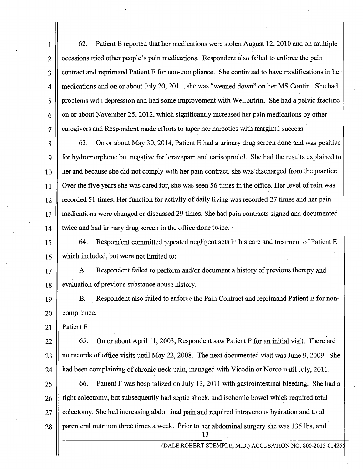1 62. Patient E reported that her medications were stolen August 12, 2010 and on multiple 2 | occasions tried other people's pain medications. Respondent also failed to enforce the pain 3 contract and reprimand Patient E for non-compliance. She continued to have modifications in her 4 medications and on or about July 20, 2011, she was "weaned down" on her MS Contin. She had 5 problems with depression and had some improvement with Wellbutrin. She had a pelvic fracture  $6 \parallel$  on or about November 25, 2012, which significantly increased her pain medications by other 7 caregivers and Respondent made efforts to taper her narcotics with marginal success.

8 63. On or about May 30, 2014, Patient E had a urinary drug screen done and was positive 9 for hydromorphone but negative for lorazepam and carisoprodol. She had the results explained to 10 || her and because she did not comply with her pain contract, she was discharged from the practice. 11 Over the five years she was cared for, she was seen 56 times in the office. 'Her level of pain was 12 | recorded 51 times. Her function for activity of daily living was recorded 27 times and her pain 13 medications were changed or discussed 29 times. She had pain contracts signed and documented  $14$   $\parallel$  twice and had urinary drug screen in the office done twice.

15 64. Respondent committed repeated negligent acts in his care and treatment of Patient E 16 which included, but were not limited to:

17 A. Respondent failed to perform and/or document a history of previous therapy and 18 evaluation of previous substance abuse history.

19 B. Respondent also failed to enforce the Pain Contract and reprimand Patient E for non-20 || compliance.

21 || Patient F

 $22 \parallel$  65. On or about April 11, 2003, Respondent saw Patient F for an initial visit. There are  $23$  || no records of office visits until May 22, 2008. The next documented visit was June 9, 2009. She 24 A had been complaining of chronic neck pain, managed with Vicodin or Norco until July, 2011.

25. 66. Patient F was hospitalized on July 13, 2011 with gastrointestinal bleeding. She had a 26 right colectomy, but subsequently had septic shock, and ischemic bowel which required total 27 colectomy. She had increasing abdominal pain and required intravenous hydration and total 28 parenteral nutrition three times a week. Prior to her abdominal surgery she was 135 lbs, and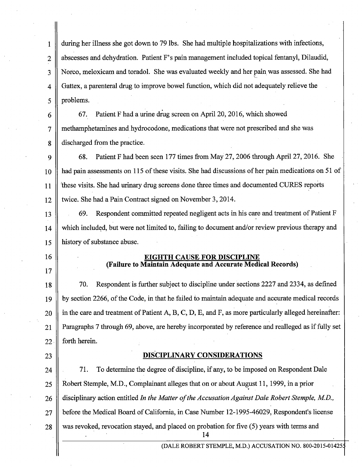| 1              | during her illness she got down to 79 lbs. She had multiple hospitalizations with infections,        |  |  |
|----------------|------------------------------------------------------------------------------------------------------|--|--|
| $\overline{c}$ | abscesses and dehydration. Patient F's pain management included topical fentanyl, Dilaudid,          |  |  |
| 3              | Norco, meloxicam and toradol. She was evaluated weekly and her pain was assessed. She had            |  |  |
| 4              | Gattex, a parenteral drug to improve bowel function, which did not adequately relieve the            |  |  |
| 5              | problems.                                                                                            |  |  |
| 6              | Patient F had a urine drug screen on April 20, 2016, which showed<br>67.                             |  |  |
| $\overline{7}$ | methamphetamines and hydrocodone, medications that were not prescribed and she was                   |  |  |
| 8              | discharged from the practice.                                                                        |  |  |
| 9              | Patient F had been seen 177 times from May 27, 2006 through April 27, 2016. She<br>68.               |  |  |
| 10             | had pain assessments on 115 of these visits. She had discussions of her pain medications on 51 of    |  |  |
| 11             | these visits. She had urinary drug screens done three times and documented CURES reports             |  |  |
| 12             | twice. She had a Pain Contract signed on November 3, 2014.                                           |  |  |
| 13             | Respondent committed repeated negligent acts in his care and treatment of Patient F<br>69.           |  |  |
| 14             | which included, but were not limited to, failing to document and/or review previous therapy and      |  |  |
| 15             | history of substance abuse.                                                                          |  |  |
| 16             | <b>EIGHTH CAUSE FOR DISCIPLINE</b><br>(Failure to Maintain Adequate and Accurate Medical Records)    |  |  |
| 17             |                                                                                                      |  |  |
| 18             | Respondent is further subject to discipline under sections 2227 and 2334, as defined<br>70.          |  |  |
| 19             | by section 2266, of the Code, in that he failed to maintain adequate and accurate medical records    |  |  |
| 20             | in the care and treatment of Patient A, B, C, D, E, and F, as more particularly alleged hereinafter: |  |  |
| 21             | Paragraphs 7 through 69, above, are hereby incorporated by reference and realleged as if fully set   |  |  |
| 22             | forth herein.                                                                                        |  |  |
| 23             | <b>DISCIPLINARY CONSIDERATIONS</b>                                                                   |  |  |
| 24             | To determine the degree of discipline, if any, to be imposed on Respondent Dale<br>71.               |  |  |
| 25             | Robert Stemple, M.D., Complainant alleges that on or about August 11, 1999, in a prior               |  |  |
| 26             | disciplinary action entitled In the Matter of the Accusation Against Dale Robert Stemple, M.D.,      |  |  |
| 27             | before the Medical Board of California, in Case Number 12-1995-46029, Respondent's license           |  |  |
| 28             | was revoked, revocation stayed, and placed on probation for five (5) years with terms and<br>14      |  |  |
|                | (DALE ROBERT STEMPLE, M.D.) ACCUSATION NO. 800-2015-01425:                                           |  |  |